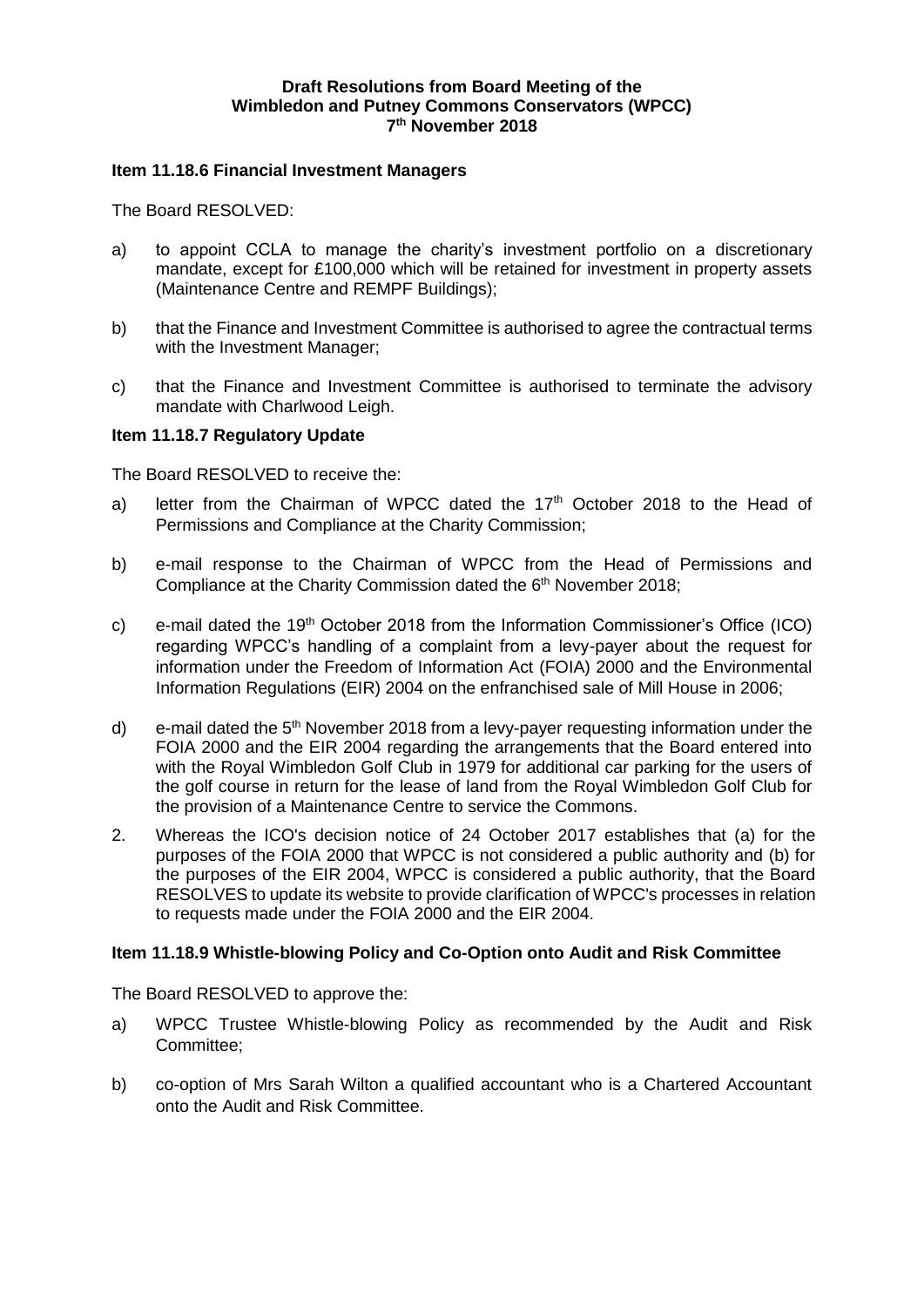## **Draft Resolutions from Board Meeting of the Wimbledon and Putney Commons Conservators (WPCC) 7 th November 2018**

### **Item 11.18.6 Financial Investment Managers**

The Board RESOLVED:

- a) to appoint CCLA to manage the charity's investment portfolio on a discretionary mandate, except for £100,000 which will be retained for investment in property assets (Maintenance Centre and REMPF Buildings);
- b) that the Finance and Investment Committee is authorised to agree the contractual terms with the Investment Manager;
- c) that the Finance and Investment Committee is authorised to terminate the advisory mandate with Charlwood Leigh.

#### **Item 11.18.7 Regulatory Update**

The Board RESOLVED to receive the:

- a) letter from the Chairman of WPCC dated the  $17<sup>th</sup>$  October 2018 to the Head of Permissions and Compliance at the Charity Commission;
- b) e-mail response to the Chairman of WPCC from the Head of Permissions and Compliance at the Charity Commission dated the 6<sup>th</sup> November 2018;
- c) e-mail dated the  $19<sup>th</sup>$  October 2018 from the Information Commissioner's Office (ICO) regarding WPCC's handling of a complaint from a levy-payer about the request for information under the Freedom of Information Act (FOIA) 2000 and the Environmental Information Regulations (EIR) 2004 on the enfranchised sale of Mill House in 2006;
- d) e-mail dated the  $5<sup>th</sup>$  November 2018 from a levy-payer requesting information under the FOIA 2000 and the EIR 2004 regarding the arrangements that the Board entered into with the Royal Wimbledon Golf Club in 1979 for additional car parking for the users of the golf course in return for the lease of land from the Royal Wimbledon Golf Club for the provision of a Maintenance Centre to service the Commons.
- 2. Whereas the ICO's decision notice of 24 October 2017 establishes that (a) for the purposes of the FOIA 2000 that WPCC is not considered a public authority and (b) for the purposes of the EIR 2004, WPCC is considered a public authority, that the Board RESOLVES to update its website to provide clarification of WPCC's processes in relation to requests made under the FOIA 2000 and the EIR 2004.

#### **Item 11.18.9 Whistle-blowing Policy and Co-Option onto Audit and Risk Committee**

The Board RESOLVED to approve the:

- a) WPCC Trustee Whistle-blowing Policy as recommended by the Audit and Risk Committee;
- b) co-option of Mrs Sarah Wilton a qualified accountant who is a Chartered Accountant onto the Audit and Risk Committee.